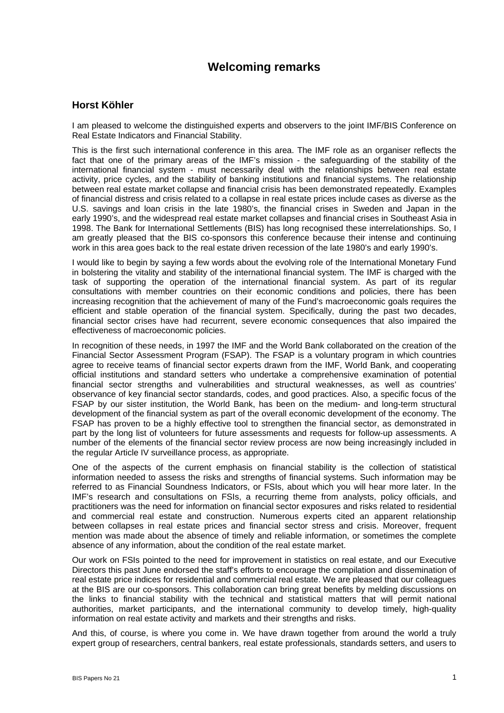## **Welcoming remarks**

## **Horst Köhler**

I am pleased to welcome the distinguished experts and observers to the joint IMF/BIS Conference on Real Estate Indicators and Financial Stability.

This is the first such international conference in this area. The IMF role as an organiser reflects the fact that one of the primary areas of the IMF's mission - the safeguarding of the stability of the international financial system - must necessarily deal with the relationships between real estate activity, price cycles, and the stability of banking institutions and financial systems. The relationship between real estate market collapse and financial crisis has been demonstrated repeatedly. Examples of financial distress and crisis related to a collapse in real estate prices include cases as diverse as the U.S. savings and loan crisis in the late 1980's, the financial crises in Sweden and Japan in the early 1990's, and the widespread real estate market collapses and financial crises in Southeast Asia in 1998. The Bank for International Settlements (BIS) has long recognised these interrelationships. So, I am greatly pleased that the BIS co-sponsors this conference because their intense and continuing work in this area goes back to the real estate driven recession of the late 1980's and early 1990's.

I would like to begin by saying a few words about the evolving role of the International Monetary Fund in bolstering the vitality and stability of the international financial system. The IMF is charged with the task of supporting the operation of the international financial system. As part of its regular consultations with member countries on their economic conditions and policies, there has been increasing recognition that the achievement of many of the Fund's macroeconomic goals requires the efficient and stable operation of the financial system. Specifically, during the past two decades, financial sector crises have had recurrent, severe economic consequences that also impaired the effectiveness of macroeconomic policies.

In recognition of these needs, in 1997 the IMF and the World Bank collaborated on the creation of the Financial Sector Assessment Program (FSAP). The FSAP is a voluntary program in which countries agree to receive teams of financial sector experts drawn from the IMF, World Bank, and cooperating official institutions and standard setters who undertake a comprehensive examination of potential financial sector strengths and vulnerabilities and structural weaknesses, as well as countries' observance of key financial sector standards, codes, and good practices. Also, a specific focus of the FSAP by our sister institution, the World Bank, has been on the medium- and long-term structural development of the financial system as part of the overall economic development of the economy. The FSAP has proven to be a highly effective tool to strengthen the financial sector, as demonstrated in part by the long list of volunteers for future assessments and requests for follow-up assessments. A number of the elements of the financial sector review process are now being increasingly included in the regular Article IV surveillance process, as appropriate.

One of the aspects of the current emphasis on financial stability is the collection of statistical information needed to assess the risks and strengths of financial systems. Such information may be referred to as Financial Soundness Indicators, or FSIs, about which you will hear more later. In the IMF's research and consultations on FSIs, a recurring theme from analysts, policy officials, and practitioners was the need for information on financial sector exposures and risks related to residential and commercial real estate and construction. Numerous experts cited an apparent relationship between collapses in real estate prices and financial sector stress and crisis. Moreover, frequent mention was made about the absence of timely and reliable information, or sometimes the complete absence of any information, about the condition of the real estate market.

Our work on FSIs pointed to the need for improvement in statistics on real estate, and our Executive Directors this past June endorsed the staff's efforts to encourage the compilation and dissemination of real estate price indices for residential and commercial real estate. We are pleased that our colleagues at the BIS are our co-sponsors. This collaboration can bring great benefits by melding discussions on the links to financial stability with the technical and statistical matters that will permit national authorities, market participants, and the international community to develop timely, high-quality information on real estate activity and markets and their strengths and risks.

And this, of course, is where you come in. We have drawn together from around the world a truly expert group of researchers, central bankers, real estate professionals, standards setters, and users to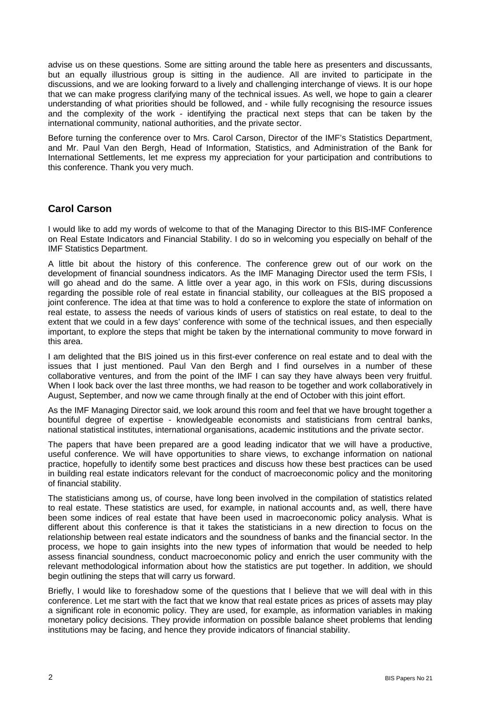advise us on these questions. Some are sitting around the table here as presenters and discussants, but an equally illustrious group is sitting in the audience. All are invited to participate in the discussions, and we are looking forward to a lively and challenging interchange of views. It is our hope that we can make progress clarifying many of the technical issues. As well, we hope to gain a clearer understanding of what priorities should be followed, and - while fully recognising the resource issues and the complexity of the work - identifying the practical next steps that can be taken by the international community, national authorities, and the private sector.

Before turning the conference over to Mrs. Carol Carson, Director of the IMF's Statistics Department, and Mr. Paul Van den Bergh, Head of Information, Statistics, and Administration of the Bank for International Settlements, let me express my appreciation for your participation and contributions to this conference. Thank you very much.

## **Carol Carson**

I would like to add my words of welcome to that of the Managing Director to this BIS-IMF Conference on Real Estate Indicators and Financial Stability. I do so in welcoming you especially on behalf of the IMF Statistics Department.

A little bit about the history of this conference. The conference grew out of our work on the development of financial soundness indicators. As the IMF Managing Director used the term FSIs, I will go ahead and do the same. A little over a year ago, in this work on FSIs, during discussions regarding the possible role of real estate in financial stability, our colleagues at the BIS proposed a joint conference. The idea at that time was to hold a conference to explore the state of information on real estate, to assess the needs of various kinds of users of statistics on real estate, to deal to the extent that we could in a few days' conference with some of the technical issues, and then especially important, to explore the steps that might be taken by the international community to move forward in this area.

I am delighted that the BIS joined us in this first-ever conference on real estate and to deal with the issues that I just mentioned. Paul Van den Bergh and I find ourselves in a number of these collaborative ventures, and from the point of the IMF I can say they have always been very fruitful. When I look back over the last three months, we had reason to be together and work collaboratively in August, September, and now we came through finally at the end of October with this joint effort.

As the IMF Managing Director said, we look around this room and feel that we have brought together a bountiful degree of expertise - knowledgeable economists and statisticians from central banks, national statistical institutes, international organisations, academic institutions and the private sector.

The papers that have been prepared are a good leading indicator that we will have a productive, useful conference. We will have opportunities to share views, to exchange information on national practice, hopefully to identify some best practices and discuss how these best practices can be used in building real estate indicators relevant for the conduct of macroeconomic policy and the monitoring of financial stability.

The statisticians among us, of course, have long been involved in the compilation of statistics related to real estate. These statistics are used, for example, in national accounts and, as well, there have been some indices of real estate that have been used in macroeconomic policy analysis. What is different about this conference is that it takes the statisticians in a new direction to focus on the relationship between real estate indicators and the soundness of banks and the financial sector. In the process, we hope to gain insights into the new types of information that would be needed to help assess financial soundness, conduct macroeconomic policy and enrich the user community with the relevant methodological information about how the statistics are put together. In addition, we should begin outlining the steps that will carry us forward.

Briefly, I would like to foreshadow some of the questions that I believe that we will deal with in this conference. Let me start with the fact that we know that real estate prices as prices of assets may play a significant role in economic policy. They are used, for example, as information variables in making monetary policy decisions. They provide information on possible balance sheet problems that lending institutions may be facing, and hence they provide indicators of financial stability.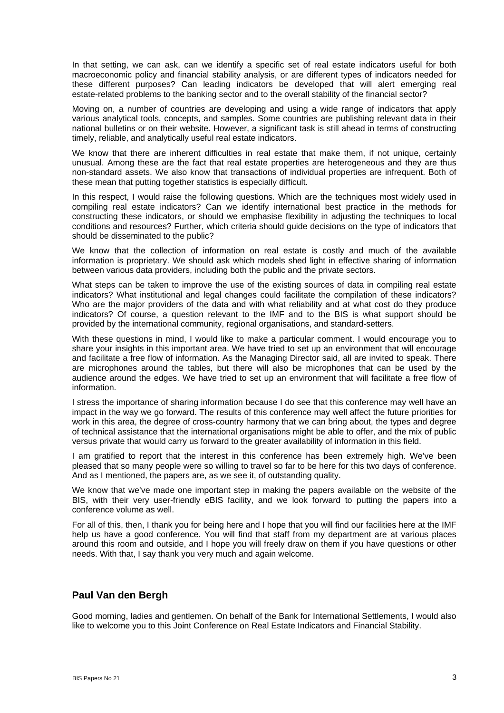In that setting, we can ask, can we identify a specific set of real estate indicators useful for both macroeconomic policy and financial stability analysis, or are different types of indicators needed for these different purposes? Can leading indicators be developed that will alert emerging real estate-related problems to the banking sector and to the overall stability of the financial sector?

Moving on, a number of countries are developing and using a wide range of indicators that apply various analytical tools, concepts, and samples. Some countries are publishing relevant data in their national bulletins or on their website. However, a significant task is still ahead in terms of constructing timely, reliable, and analytically useful real estate indicators.

We know that there are inherent difficulties in real estate that make them, if not unique, certainly unusual. Among these are the fact that real estate properties are heterogeneous and they are thus non-standard assets. We also know that transactions of individual properties are infrequent. Both of these mean that putting together statistics is especially difficult.

In this respect, I would raise the following questions. Which are the techniques most widely used in compiling real estate indicators? Can we identify international best practice in the methods for constructing these indicators, or should we emphasise flexibility in adjusting the techniques to local conditions and resources? Further, which criteria should guide decisions on the type of indicators that should be disseminated to the public?

We know that the collection of information on real estate is costly and much of the available information is proprietary. We should ask which models shed light in effective sharing of information between various data providers, including both the public and the private sectors.

What steps can be taken to improve the use of the existing sources of data in compiling real estate indicators? What institutional and legal changes could facilitate the compilation of these indicators? Who are the major providers of the data and with what reliability and at what cost do they produce indicators? Of course, a question relevant to the IMF and to the BIS is what support should be provided by the international community, regional organisations, and standard-setters.

With these questions in mind, I would like to make a particular comment. I would encourage you to share your insights in this important area. We have tried to set up an environment that will encourage and facilitate a free flow of information. As the Managing Director said, all are invited to speak. There are microphones around the tables, but there will also be microphones that can be used by the audience around the edges. We have tried to set up an environment that will facilitate a free flow of information.

I stress the importance of sharing information because I do see that this conference may well have an impact in the way we go forward. The results of this conference may well affect the future priorities for work in this area, the degree of cross-country harmony that we can bring about, the types and degree of technical assistance that the international organisations might be able to offer, and the mix of public versus private that would carry us forward to the greater availability of information in this field.

I am gratified to report that the interest in this conference has been extremely high. We've been pleased that so many people were so willing to travel so far to be here for this two days of conference. And as I mentioned, the papers are, as we see it, of outstanding quality.

We know that we've made one important step in making the papers available on the website of the BIS, with their very user-friendly eBIS facility, and we look forward to putting the papers into a conference volume as well.

For all of this, then, I thank you for being here and I hope that you will find our facilities here at the IMF help us have a good conference. You will find that staff from my department are at various places around this room and outside, and I hope you will freely draw on them if you have questions or other needs. With that, I say thank you very much and again welcome.

## **Paul Van den Bergh**

Good morning, ladies and gentlemen. On behalf of the Bank for International Settlements, I would also like to welcome you to this Joint Conference on Real Estate Indicators and Financial Stability.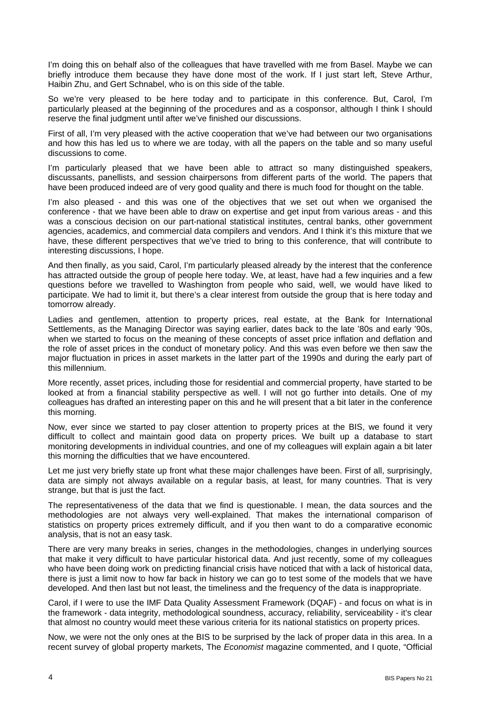I'm doing this on behalf also of the colleagues that have travelled with me from Basel. Maybe we can briefly introduce them because they have done most of the work. If I just start left, Steve Arthur, Haibin Zhu, and Gert Schnabel, who is on this side of the table.

So we're very pleased to be here today and to participate in this conference. But, Carol, I'm particularly pleased at the beginning of the procedures and as a cosponsor, although I think I should reserve the final judgment until after we've finished our discussions.

First of all, I'm very pleased with the active cooperation that we've had between our two organisations and how this has led us to where we are today, with all the papers on the table and so many useful discussions to come.

I'm particularly pleased that we have been able to attract so many distinguished speakers, discussants, panellists, and session chairpersons from different parts of the world. The papers that have been produced indeed are of very good quality and there is much food for thought on the table.

I'm also pleased - and this was one of the objectives that we set out when we organised the conference - that we have been able to draw on expertise and get input from various areas - and this was a conscious decision on our part-national statistical institutes, central banks, other government agencies, academics, and commercial data compilers and vendors. And I think it's this mixture that we have, these different perspectives that we've tried to bring to this conference, that will contribute to interesting discussions, I hope.

And then finally, as you said, Carol, I'm particularly pleased already by the interest that the conference has attracted outside the group of people here today. We, at least, have had a few inquiries and a few questions before we travelled to Washington from people who said, well, we would have liked to participate. We had to limit it, but there's a clear interest from outside the group that is here today and tomorrow already.

Ladies and gentlemen, attention to property prices, real estate, at the Bank for International Settlements, as the Managing Director was saying earlier, dates back to the late '80s and early '90s, when we started to focus on the meaning of these concepts of asset price inflation and deflation and the role of asset prices in the conduct of monetary policy. And this was even before we then saw the major fluctuation in prices in asset markets in the latter part of the 1990s and during the early part of this millennium.

More recently, asset prices, including those for residential and commercial property, have started to be looked at from a financial stability perspective as well. I will not go further into details. One of my colleagues has drafted an interesting paper on this and he will present that a bit later in the conference this morning.

Now, ever since we started to pay closer attention to property prices at the BIS, we found it very difficult to collect and maintain good data on property prices. We built up a database to start monitoring developments in individual countries, and one of my colleagues will explain again a bit later this morning the difficulties that we have encountered.

Let me just very briefly state up front what these major challenges have been. First of all, surprisingly, data are simply not always available on a regular basis, at least, for many countries. That is very strange, but that is just the fact.

The representativeness of the data that we find is questionable. I mean, the data sources and the methodologies are not always very well-explained. That makes the international comparison of statistics on property prices extremely difficult, and if you then want to do a comparative economic analysis, that is not an easy task.

There are very many breaks in series, changes in the methodologies, changes in underlying sources that make it very difficult to have particular historical data. And just recently, some of my colleagues who have been doing work on predicting financial crisis have noticed that with a lack of historical data, there is just a limit now to how far back in history we can go to test some of the models that we have developed. And then last but not least, the timeliness and the frequency of the data is inappropriate.

Carol, if I were to use the IMF Data Quality Assessment Framework (DQAF) - and focus on what is in the framework - data integrity, methodological soundness, accuracy, reliability, serviceability - it's clear that almost no country would meet these various criteria for its national statistics on property prices.

Now, we were not the only ones at the BIS to be surprised by the lack of proper data in this area. In a recent survey of global property markets, The *Economist* magazine commented, and I quote, "Official